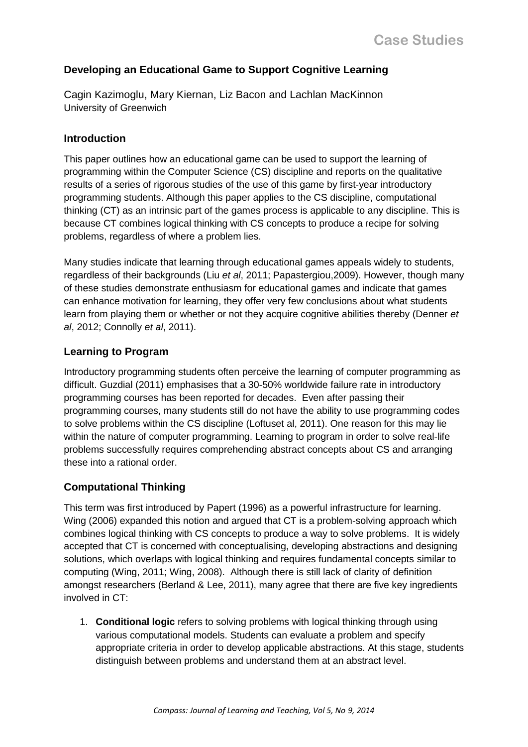# **Developing an Educational Game to Support Cognitive Learning**

Cagin Kazimoglu, Mary Kiernan, Liz Bacon and Lachlan MacKinnon University of Greenwich

### **Introduction**

This paper outlines how an educational game can be used to support the learning of programming within the Computer Science (CS) discipline and reports on the qualitative results of a series of rigorous studies of the use of this game by first-year introductory programming students. Although this paper applies to the CS discipline, computational thinking (CT) as an intrinsic part of the games process is applicable to any discipline. This is because CT combines logical thinking with CS concepts to produce a recipe for solving problems, regardless of where a problem lies.

Many studies indicate that learning through educational games appeals widely to students, regardless of their backgrounds (Liu *et al*, 2011; Papastergiou,2009). However, though many of these studies demonstrate enthusiasm for educational games and indicate that games can enhance motivation for learning, they offer very few conclusions about what students learn from playing them or whether or not they acquire cognitive abilities thereby (Denner *et al*, 2012; Connolly *et al*, 2011).

## **Learning to Program**

Introductory programming students often perceive the learning of computer programming as difficult. Guzdial (2011) emphasises that a 30-50% worldwide failure rate in introductory programming courses has been reported for decades. Even after passing their programming courses, many students still do not have the ability to use programming codes to solve problems within the CS discipline (Loftuset al, 2011). One reason for this may lie within the nature of computer programming. Learning to program in order to solve real-life problems successfully requires comprehending abstract concepts about CS and arranging these into a rational order.

## **Computational Thinking**

This term was first introduced by Papert (1996) as a powerful infrastructure for learning. Wing (2006) expanded this notion and argued that CT is a problem-solving approach which combines logical thinking with CS concepts to produce a way to solve problems. It is widely accepted that CT is concerned with conceptualising, developing abstractions and designing solutions, which overlaps with logical thinking and requires fundamental concepts similar to computing (Wing, 2011; Wing, 2008). Although there is still lack of clarity of definition amongst researchers (Berland & Lee, 2011), many agree that there are five key ingredients involved in CT:

1. **Conditional logic** refers to solving problems with logical thinking through using various computational models. Students can evaluate a problem and specify appropriate criteria in order to develop applicable abstractions. At this stage, students distinguish between problems and understand them at an abstract level.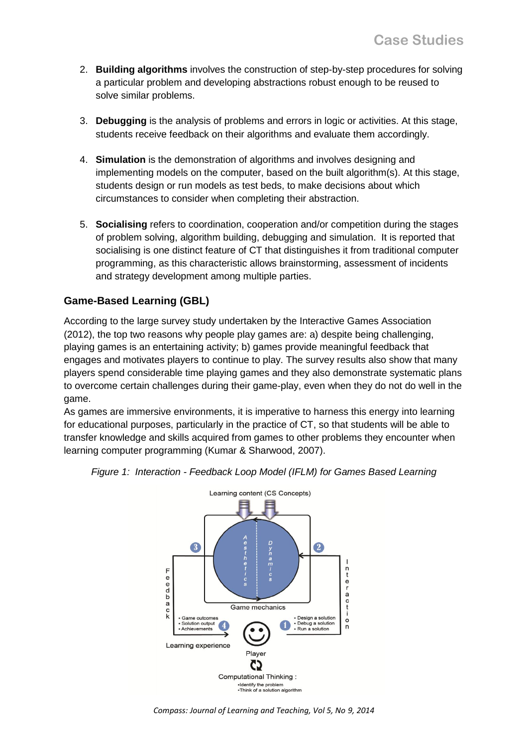- 2. **Building algorithms** involves the construction of step-by-step procedures for solving a particular problem and developing abstractions robust enough to be reused to solve similar problems.
- 3. **Debugging** is the analysis of problems and errors in logic or activities. At this stage, students receive feedback on their algorithms and evaluate them accordingly.
- 4. **Simulation** is the demonstration of algorithms and involves designing and implementing models on the computer, based on the built algorithm(s). At this stage, students design or run models as test beds, to make decisions about which circumstances to consider when completing their abstraction.
- 5. **Socialising** refers to coordination, cooperation and/or competition during the stages of problem solving, algorithm building, debugging and simulation. It is reported that socialising is one distinct feature of CT that distinguishes it from traditional computer programming, as this characteristic allows brainstorming, assessment of incidents and strategy development among multiple parties.

# **Game-Based Learning (GBL)**

According to the large survey study undertaken by the Interactive Games Association (2012), the top two reasons why people play games are: a) despite being challenging, playing games is an entertaining activity; b) games provide meaningful feedback that engages and motivates players to continue to play. The survey results also show that many players spend considerable time playing games and they also demonstrate systematic plans to overcome certain challenges during their game-play, even when they do not do well in the game.

As games are immersive environments, it is imperative to harness this energy into learning for educational purposes, particularly in the practice of CT, so that students will be able to transfer knowledge and skills acquired from games to other problems they encounter when learning computer programming (Kumar & Sharwood, 2007).



*Figure 1: Interaction - Feedback Loop Model (IFLM) for Games Based Learning*

*Compass: Journal of Learning and Teaching, Vol 5, No 9, 2014*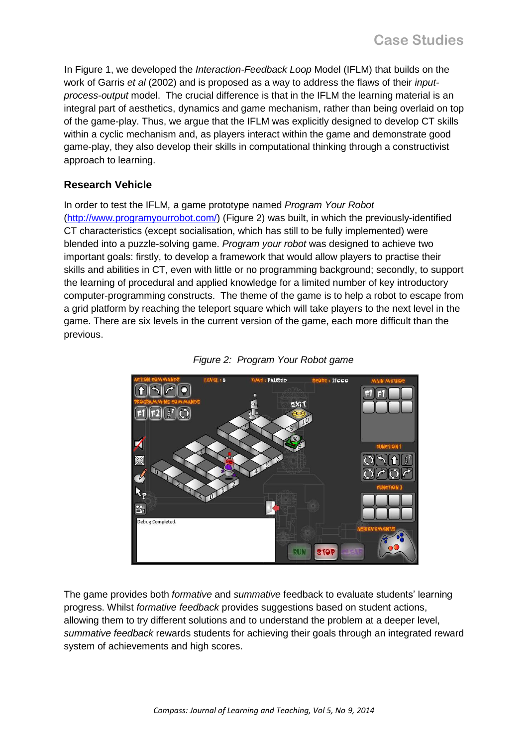In Figure 1, we developed the *Interaction-Feedback Loop* Model (IFLM) that builds on the work of Garris *et al* (2002) and is proposed as a way to address the flaws of their *inputprocess-output* model. The crucial difference is that in the IFLM the learning material is an integral part of aesthetics, dynamics and game mechanism, rather than being overlaid on top of the game-play. Thus, we argue that the IFLM was explicitly designed to develop CT skills within a cyclic mechanism and, as players interact within the game and demonstrate good game-play, they also develop their skills in computational thinking through a constructivist approach to learning.

## **Research Vehicle**

In order to test the IFLM*,* a game prototype named *Program Your Robot* [\(http://www.programyourrobot.com/\)](http://www.programyourrobot.com/) (Figure 2) was built, in which the previously-identified CT characteristics (except socialisation, which has still to be fully implemented) were blended into a puzzle-solving game. *Program your robot* was designed to achieve two important goals: firstly, to develop a framework that would allow players to practise their skills and abilities in CT, even with little or no programming background; secondly, to support the learning of procedural and applied knowledge for a limited number of key introductory computer-programming constructs. The theme of the game is to help a robot to escape from a grid platform by reaching the teleport square which will take players to the next level in the game. There are six levels in the current version of the game, each more difficult than the previous.





The game provides both *formative* and *summative* feedback to evaluate students' learning progress. Whilst *formative feedback* provides suggestions based on student actions, allowing them to try different solutions and to understand the problem at a deeper level, *summative feedback* rewards students for achieving their goals through an integrated reward system of achievements and high scores.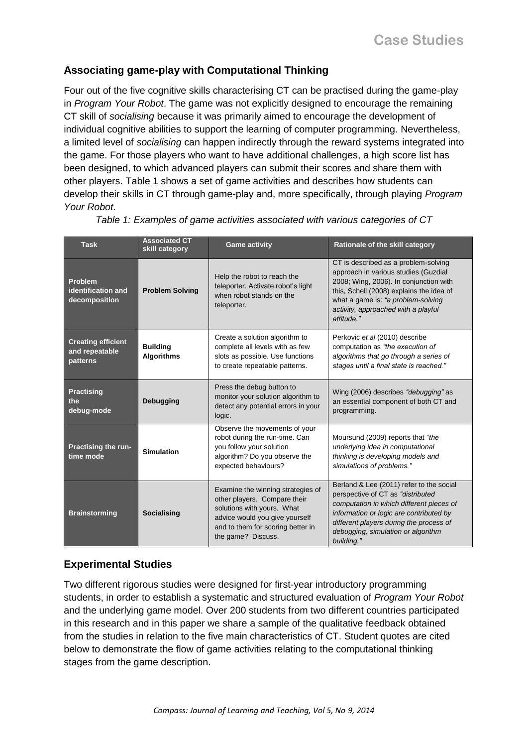# **Associating game-play with Computational Thinking**

Four out of the five cognitive skills characterising CT can be practised during the game-play in *Program Your Robot*. The game was not explicitly designed to encourage the remaining CT skill of *socialising* because it was primarily aimed to encourage the development of individual cognitive abilities to support the learning of computer programming. Nevertheless, a limited level of *socialising* can happen indirectly through the reward systems integrated into the game. For those players who want to have additional challenges, a high score list has been designed, to which advanced players can submit their scores and share them with other players. Table 1 shows a set of game activities and describes how students can develop their skills in CT through game-play and, more specifically, through playing *Program Your Robot*.

| <b>Task</b>                                             | <b>Associated CT</b><br>skill category | <b>Game activity</b>                                                                                                                                                                         | Rationale of the skill category                                                                                                                                                                                                                                     |
|---------------------------------------------------------|----------------------------------------|----------------------------------------------------------------------------------------------------------------------------------------------------------------------------------------------|---------------------------------------------------------------------------------------------------------------------------------------------------------------------------------------------------------------------------------------------------------------------|
| <b>Problem</b><br>identification and<br>decomposition   | <b>Problem Solving</b>                 | Help the robot to reach the<br>teleporter. Activate robot's light<br>when robot stands on the<br>teleporter.                                                                                 | CT is described as a problem-solving<br>approach in various studies (Guzdial<br>2008; Wing, 2006). In conjunction with<br>this, Schell (2008) explains the idea of<br>what a game is: "a problem-solving<br>activity, approached with a playful<br>attitude."       |
| <b>Creating efficient</b><br>and repeatable<br>patterns | <b>Building</b><br><b>Algorithms</b>   | Create a solution algorithm to<br>complete all levels with as few<br>slots as possible. Use functions<br>to create repeatable patterns.                                                      | Perkovic et al (2010) describe<br>computation as "the execution of<br>algorithms that go through a series of<br>stages until a final state is reached."                                                                                                             |
| <b>Practising</b><br>the<br>debug-mode                  | <b>Debugging</b>                       | Press the debug button to<br>monitor your solution algorithm to<br>detect any potential errors in your<br>logic.                                                                             | Wing (2006) describes "debugging" as<br>an essential component of both CT and<br>programming.                                                                                                                                                                       |
| <b>Practising the run-</b><br>time mode                 | <b>Simulation</b>                      | Observe the movements of your<br>robot during the run-time. Can<br>you follow your solution<br>algorithm? Do you observe the<br>expected behaviours?                                         | Moursund (2009) reports that "the<br>underlying idea in computational<br>thinking is developing models and<br>simulations of problems."                                                                                                                             |
| <b>Brainstorming</b>                                    | Socialising                            | Examine the winning strategies of<br>other players. Compare their<br>solutions with yours. What<br>advice would you give yourself<br>and to them for scoring better in<br>the game? Discuss. | Berland & Lee (2011) refer to the social<br>perspective of CT as "distributed<br>computation in which different pieces of<br>information or logic are contributed by<br>different players during the process of<br>debugging, simulation or algorithm<br>building." |

*Table 1: Examples of game activities associated with various categories of CT*

## **Experimental Studies**

Two different rigorous studies were designed for first-year introductory programming students, in order to establish a systematic and structured evaluation of *Program Your Robot*  and the underlying game model. Over 200 students from two different countries participated in this research and in this paper we share a sample of the qualitative feedback obtained from the studies in relation to the five main characteristics of CT. Student quotes are cited below to demonstrate the flow of game activities relating to the computational thinking stages from the game description.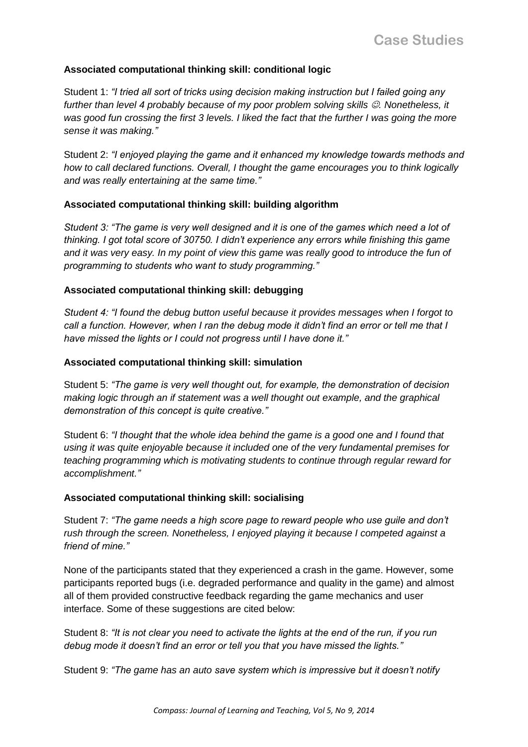### **Associated computational thinking skill: conditional logic**

Student 1: *"I tried all sort of tricks using decision making instruction but I failed going any further than level 4 probably because of my poor problem solving skills . Nonetheless, it*  was good fun crossing the first 3 levels. I liked the fact that the further I was going the more *sense it was making."*

Student 2: *"I enjoyed playing the game and it enhanced my knowledge towards methods and how to call declared functions. Overall, I thought the game encourages you to think logically and was really entertaining at the same time."*

### **Associated computational thinking skill: building algorithm**

*Student 3: "The game is very well designed and it is one of the games which need a lot of thinking. I got total score of 30750. I didn't experience any errors while finishing this game and it was very easy. In my point of view this game was really good to introduce the fun of programming to students who want to study programming."*

### **Associated computational thinking skill: debugging**

*Student 4: "I found the debug button useful because it provides messages when I forgot to call a function. However, when I ran the debug mode it didn't find an error or tell me that I have missed the lights or I could not progress until I have done it."*

### **Associated computational thinking skill: simulation**

Student 5: *"The game is very well thought out, for example, the demonstration of decision making logic through an if statement was a well thought out example, and the graphical demonstration of this concept is quite creative."*

Student 6: *"I thought that the whole idea behind the game is a good one and I found that using it was quite enjoyable because it included one of the very fundamental premises for teaching programming which is motivating students to continue through regular reward for accomplishment."*

### **Associated computational thinking skill: socialising**

Student 7: *"The game needs a high score page to reward people who use guile and don't rush through the screen. Nonetheless, I enjoyed playing it because I competed against a friend of mine."*

None of the participants stated that they experienced a crash in the game. However, some participants reported bugs (i.e. degraded performance and quality in the game) and almost all of them provided constructive feedback regarding the game mechanics and user interface. Some of these suggestions are cited below:

Student 8: *"It is not clear you need to activate the lights at the end of the run, if you run debug mode it doesn't find an error or tell you that you have missed the lights."*

Student 9: *"The game has an auto save system which is impressive but it doesn't notify*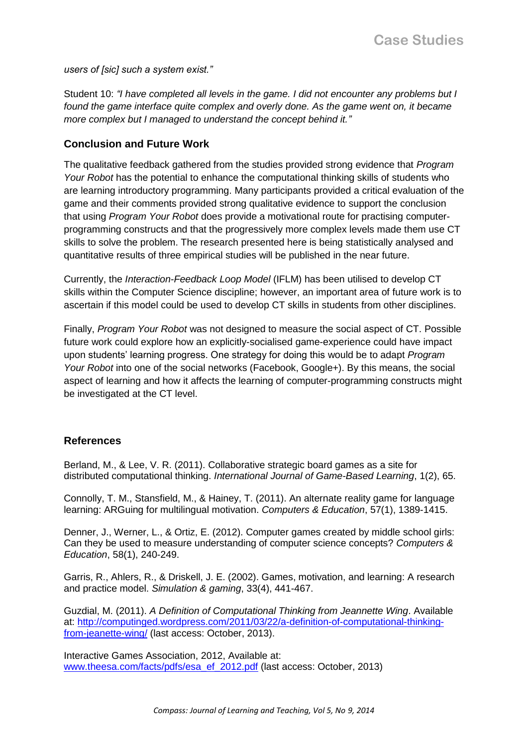*users of [sic] such a system exist."*

Student 10: *"I have completed all levels in the game. I did not encounter any problems but I*  found the game interface quite complex and overly done. As the game went on, it became *more complex but I managed to understand the concept behind it."*

### **Conclusion and Future Work**

The qualitative feedback gathered from the studies provided strong evidence that *Program Your Robot* has the potential to enhance the computational thinking skills of students who are learning introductory programming. Many participants provided a critical evaluation of the game and their comments provided strong qualitative evidence to support the conclusion that using *Program Your Robot* does provide a motivational route for practising computerprogramming constructs and that the progressively more complex levels made them use CT skills to solve the problem. The research presented here is being statistically analysed and quantitative results of three empirical studies will be published in the near future.

Currently, the *Interaction-Feedback Loop Model* (IFLM) has been utilised to develop CT skills within the Computer Science discipline; however, an important area of future work is to ascertain if this model could be used to develop CT skills in students from other disciplines.

Finally, *Program Your Robot* was not designed to measure the social aspect of CT. Possible future work could explore how an explicitly-socialised game-experience could have impact upon students' learning progress. One strategy for doing this would be to adapt *Program Your Robot* into one of the social networks (Facebook, Google+). By this means, the social aspect of learning and how it affects the learning of computer-programming constructs might be investigated at the CT level.

### **References**

Berland, M., & Lee, V. R. (2011). Collaborative strategic board games as a site for distributed computational thinking. *International Journal of Game-Based Learning*, 1(2), 65.

Connolly, T. M., Stansfield, M., & Hainey, T. (2011). An alternate reality game for language learning: ARGuing for multilingual motivation. *Computers & Education*, 57(1), 1389-1415.

Denner, J., Werner, L., & Ortiz, E. (2012). Computer games created by middle school girls: Can they be used to measure understanding of computer science concepts? *Computers & Education*, 58(1), 240-249.

Garris, R., Ahlers, R., & Driskell, J. E. (2002). Games, motivation, and learning: A research and practice model. *Simulation & gaming*, 33(4), 441-467.

Guzdial, M. (2011). *A Definition of Computational Thinking from Jeannette Wing*. Available at: [http://computinged.wordpress.com/2011/03/22/a-definition-of-computational-thinking](http://computinged.wordpress.com/2011/03/22/a-definition-of-computational-thinking-from-jeanette-wing/)[from-jeanette-wing/](http://computinged.wordpress.com/2011/03/22/a-definition-of-computational-thinking-from-jeanette-wing/) (last access: October, 2013).

Interactive Games Association, 2012, Available at: [www.theesa.com/facts/pdfs/esa\\_ef\\_2012.pdf](http://www.theesa.com/facts/pdfs/esa_ef_2012.pdf) (last access: October, 2013)